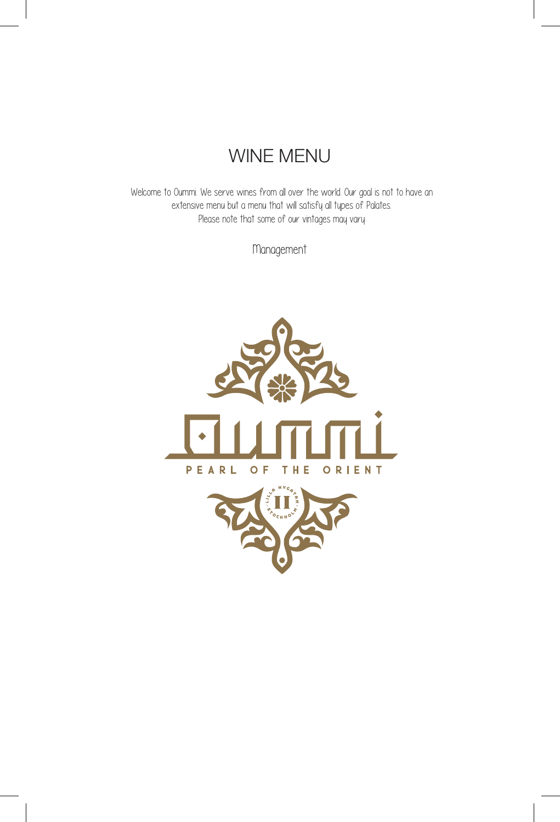# WINE MENU

Welcome to Oummi. We serve wines from all over the world. Our goal is not to have an extensive menu but a menu that will satisfy all types of Palates. Please note that some of our vintages may vary

Management



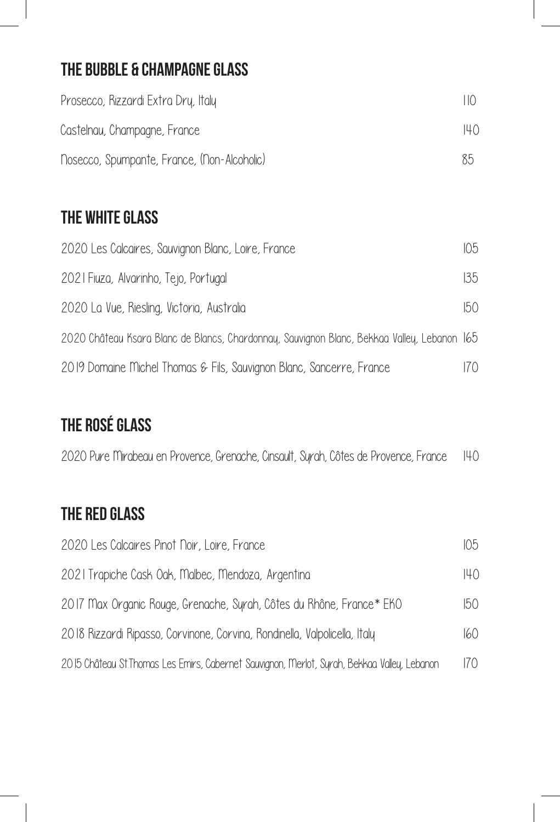### The Bubble & Champagne Glass

| Prosecco, Rizzardi Extra Dry, Italy         | $\vert \vert \vert$ ( ) |
|---------------------------------------------|-------------------------|
| Castelnau, Champagne, France                | 140                     |
| Nosecco, Spumpante, France, (Non-Alcoholic) | 85                      |

## THE WHITE GLASS

| 2020 Les Calcaires, Sauvignon Blanc, Loire, France                                          | 105 |
|---------------------------------------------------------------------------------------------|-----|
| 2021 Fiuza, Alvarinho, Tejo, Portugal                                                       | 135 |
| 2020 La Vue, Riesling, Victoria, Australia                                                  | 150 |
| 2020 Château Ksara Blanc de Blancs, Chardonnay, Sauvignon Blanc, Bekkaa Valley, Lebanon 165 |     |
| 2019 Domaine Michel Thomas & Fils, Sauvignon Blanc, Sancerre, France                        | 170 |

# The Rosé Glass

| 2020 Pure Mirabeau en Provence, Grenache, Cinsault, Syrah, Côtes de Provence, France H40 |  |  |  |  |  |  |  |  |  |  |  |  |
|------------------------------------------------------------------------------------------|--|--|--|--|--|--|--|--|--|--|--|--|
|------------------------------------------------------------------------------------------|--|--|--|--|--|--|--|--|--|--|--|--|

#### The Red Glass

| 2020 Les Calcaires Pinot Noir, Loire, France                                                 | 105 |
|----------------------------------------------------------------------------------------------|-----|
| 2021 Trapiche Cask Oak, Malbec, Mendoza, Argentina                                           | 140 |
| 2017 Max Organic Rouge, Grenache, Syrah, Côtes du Rhône, France* EKO                         | 150 |
| 2018 Rizzardi Ripasso, Corvinone, Corvina, Rondinella, Valpolicella, Italy                   | 160 |
| 2015 Château St. Thomas Les Emirs, Cabernet Sauvignon, Merlot, Syrah, Bekkaa Valley, Lebanon | 170 |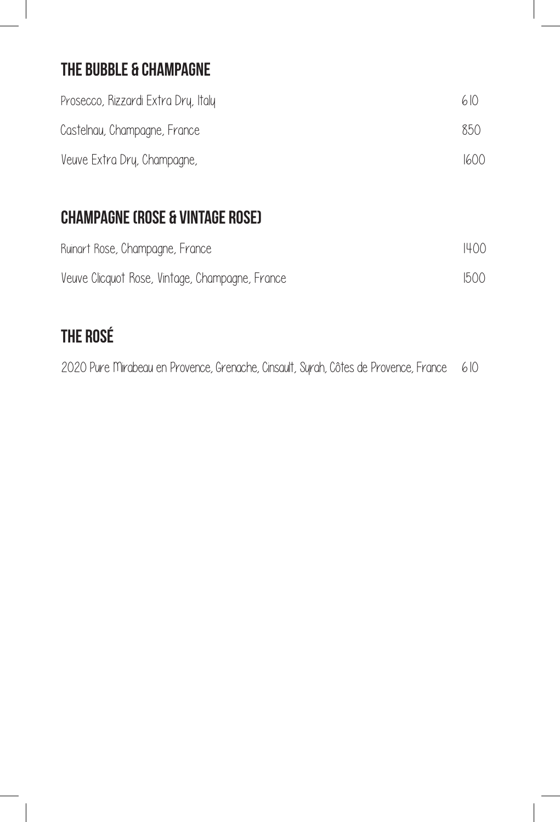### The Bubble & Champagne

| Prosecco, Rizzardi Extra Dry, Italy | 6(0) |
|-------------------------------------|------|
| Castelnau, Champagne, France        | 850. |
| Veuve Extra Dry, Champagne,         | 1600 |

## Champagne (Rose & Vintage Rose)

| Ruinart Rose, Champagne, France                 | 1400 |
|-------------------------------------------------|------|
| Veuve Clicquot Rose, Vintage, Champagne, France | 1500 |

# The Rosé

2020 Pure Mirabeau en Provence, Grenache, Cinsault, Syrah, Côtes de Provence, France 610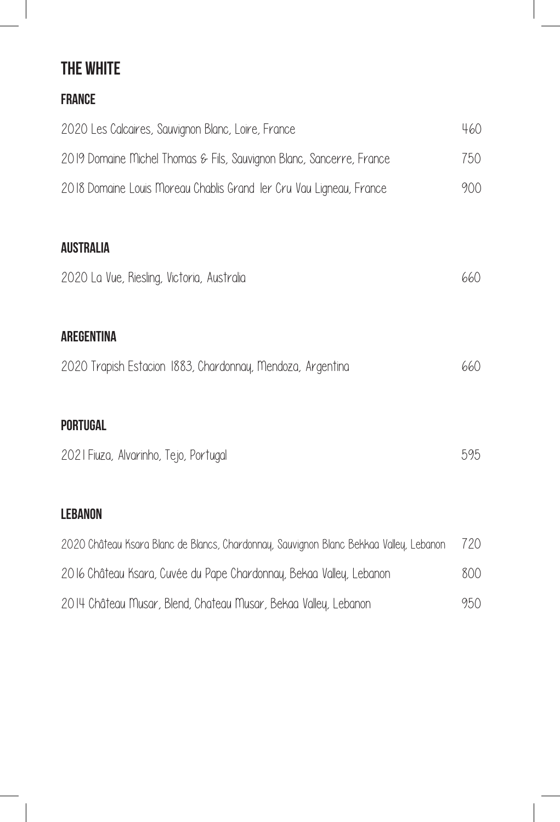#### The White

| <b>FRANCE</b>                                                        |     |
|----------------------------------------------------------------------|-----|
| 2020 Les Calcaires, Sauvignon Blanc, Loire, France                   | 460 |
| 2019 Domaine Michel Thomas & Fils, Sauvignon Blanc, Sancerre, France | 750 |
| 2018 Domaine Louis Moreau Chablis Grand Ier Cru Vau Ligneau, France  | 900 |
|                                                                      |     |
| <b>AUSTRALIA</b>                                                     |     |
| 2020 La Vue, Riesling, Victoria, Australia                           | 660 |
|                                                                      |     |
| <b>AREGENTINA</b>                                                    |     |
| 2020 Trapish Estacion 1883, Chardonnay, Mendoza, Argentina           | 660 |
|                                                                      |     |
| <b>PORTUGAL</b>                                                      |     |
| 2021 Fiuza, Alvarinho, Tejo, Portugal                                | 595 |
|                                                                      |     |
| LEBANON                                                              |     |

| 2020 Château Ksara Blanc de Blancs, Chardonnay, Sauvignon Blanc Bekkaa Valley, Lebanon | 720 |
|----------------------------------------------------------------------------------------|-----|
| 2016 Château Ksara, Cuvée du Pape Chardonnay, Bekaa Valley, Lebanon                    | 800 |
| 2014 Château Musar, Blend, Chateau Musar, Bekaa Valley, Lebanon                        | 950 |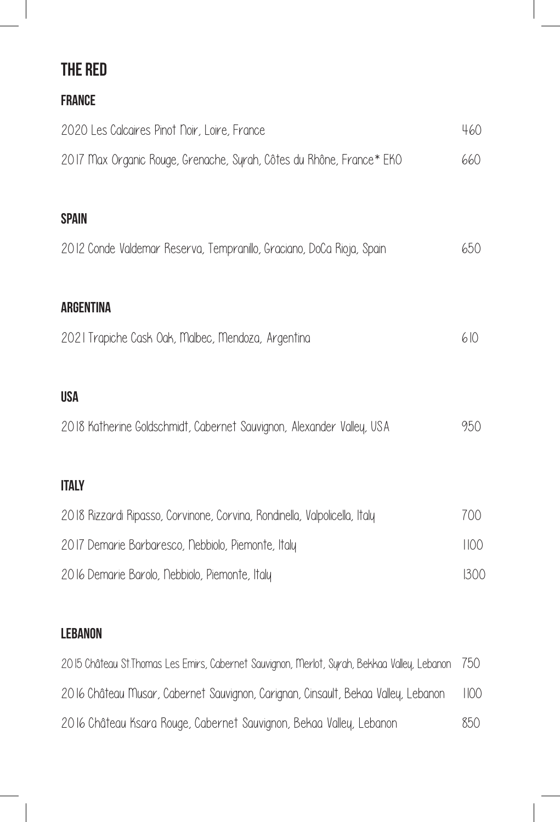## The Red

| <b>FRANCE</b>                                                              |      |
|----------------------------------------------------------------------------|------|
| 2020 Les Calcaires Pinot Noir, Loire, France                               | 460  |
| 2017 Max Organic Rouge, Grenache, Syrah, Côtes du Rhône, France* EKO       | 660  |
|                                                                            |      |
| <b>SPAIN</b>                                                               |      |
| 2012 Conde Valdemar Reserva, Tempranillo, Graciano, DoCa Rioja, Spain      | 650  |
| <b>ARGENTINA</b>                                                           |      |
| 2021 Trapiche Cask Oak, Malbec, Mendoza, Argentina                         | 610  |
| <b>USA</b>                                                                 |      |
| 2018 Katherine Goldschmidt, Cabernet Sauvignon, Alexander Valley, USA      | 950  |
|                                                                            |      |
| <b>ITALY</b>                                                               |      |
| 2018 Rizzardi Ripasso, Corvinone, Corvina, Rondinella, Valpolicella, Italy | 700  |
| 2017 Demarie Barbaresco, Nebbiolo, Piemonte, Italy                         | 1100 |

2016 Demarie Barolo, Nebbiolo, Piemonte, Italy 1300

#### **LEBANON**

| 2015 Château St. Thomas Les Emirs, Cabernet Sauvignon, Merlot, Syrah, Bekkaa Valley, Lebanon 750 |      |
|--------------------------------------------------------------------------------------------------|------|
| 2016 Château Musar, Cabernet Sauvignon, Carignan, Cinsault, Bekaa Valley, Lebanon                | 1100 |
| 2016 Château Ksara Rouge, Cabernet Sauvignon, Bekaa Valley, Lebanon                              | 850  |